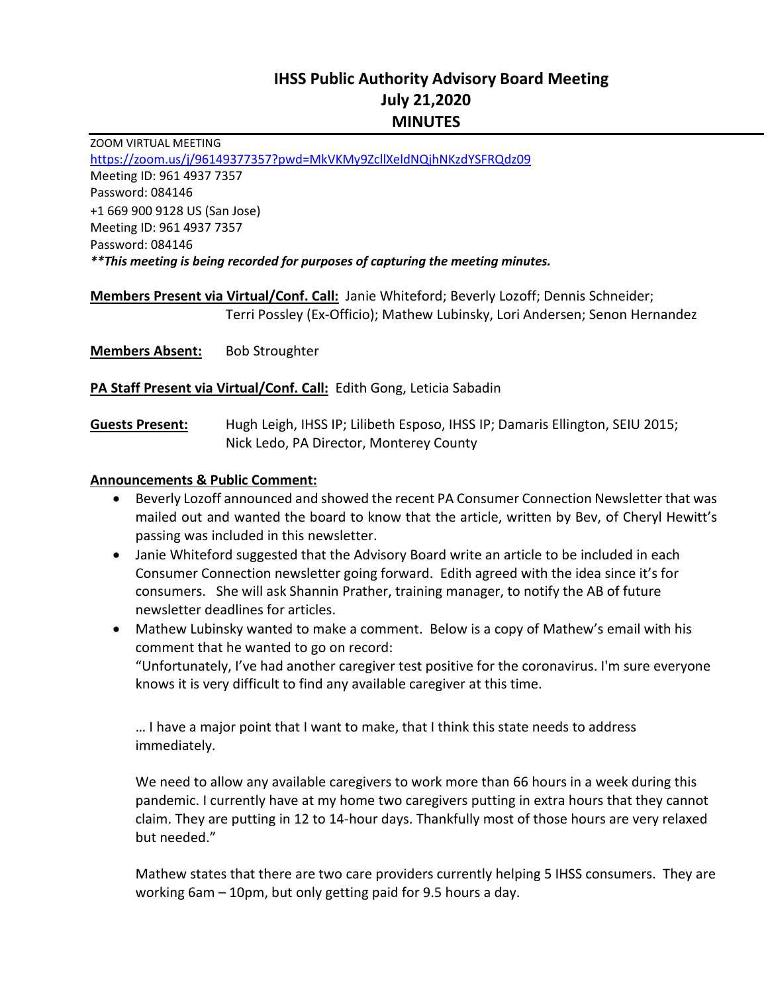# **IHSS Public Authority Advisory Board Meeting July 21,2020 MINUTES**

ZOOM VIRTUAL MEETING <https://zoom.us/j/96149377357?pwd=MkVKMy9ZcllXeldNQjhNKzdYSFRQdz09> Meeting ID: 961 4937 7357 Password: 084146 +1 669 900 9128 US (San Jose) Meeting ID: 961 4937 7357 Password: 084146 *\*\*This meeting is being recorded for purposes of capturing the meeting minutes.*

**Members Present via Virtual/Conf. Call:** Janie Whiteford; Beverly Lozoff; Dennis Schneider; Terri Possley (Ex-Officio); Mathew Lubinsky, Lori Andersen; Senon Hernandez

**Members Absent:** Bob Stroughter

**PA Staff Present via Virtual/Conf. Call:** Edith Gong, Leticia Sabadin

**Guests Present:** Hugh Leigh, IHSS IP; Lilibeth Esposo, IHSS IP; Damaris Ellington, SEIU 2015; Nick Ledo, PA Director, Monterey County

#### **Announcements & Public Comment:**

- Beverly Lozoff announced and showed the recent PA Consumer Connection Newsletter that was mailed out and wanted the board to know that the article, written by Bev, of Cheryl Hewitt's passing was included in this newsletter.
- Janie Whiteford suggested that the Advisory Board write an article to be included in each Consumer Connection newsletter going forward. Edith agreed with the idea since it's for consumers. She will ask Shannin Prather, training manager, to notify the AB of future newsletter deadlines for articles.
- Mathew Lubinsky wanted to make a comment. Below is a copy of Mathew's email with his comment that he wanted to go on record:

"Unfortunately, I've had another caregiver test positive for the coronavirus. I'm sure everyone knows it is very difficult to find any available caregiver at this time.

… I have a major point that I want to make, that I think this state needs to address immediately.

We need to allow any available caregivers to work more than 66 hours in a week during this pandemic. I currently have at my home two caregivers putting in extra hours that they cannot claim. They are putting in 12 to 14-hour days. Thankfully most of those hours are very relaxed but needed."

Mathew states that there are two care providers currently helping 5 IHSS consumers. They are working 6am – 10pm, but only getting paid for 9.5 hours a day.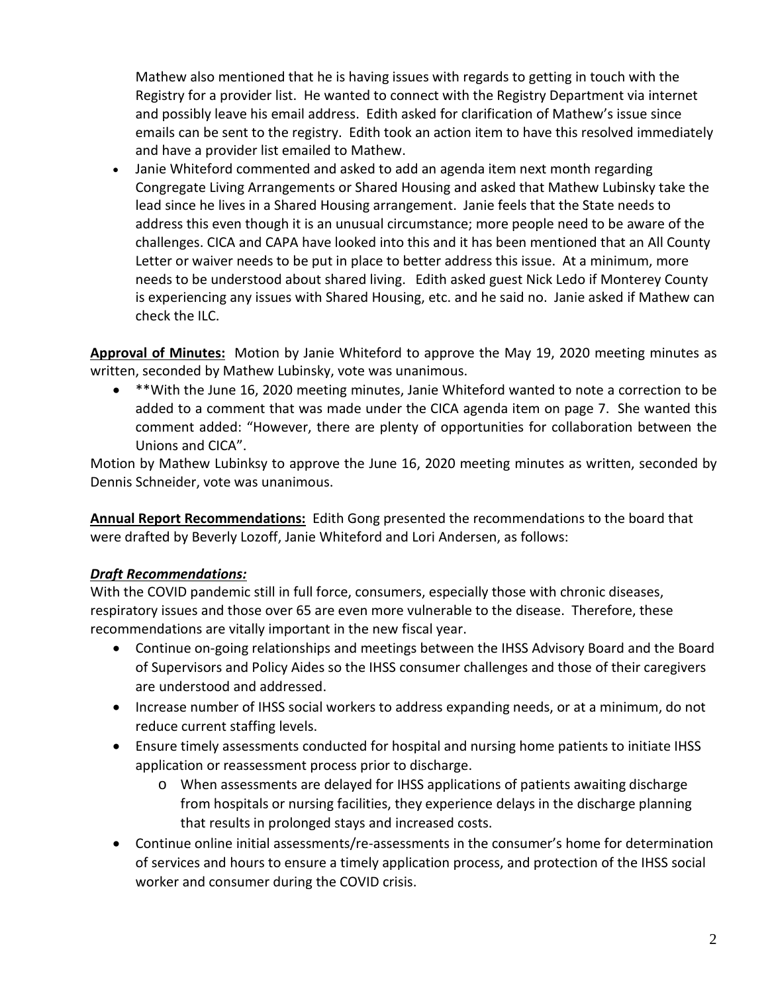Mathew also mentioned that he is having issues with regards to getting in touch with the Registry for a provider list. He wanted to connect with the Registry Department via internet and possibly leave his email address. Edith asked for clarification of Mathew's issue since emails can be sent to the registry. Edith took an action item to have this resolved immediately and have a provider list emailed to Mathew.

• Janie Whiteford commented and asked to add an agenda item next month regarding Congregate Living Arrangements or Shared Housing and asked that Mathew Lubinsky take the lead since he lives in a Shared Housing arrangement. Janie feels that the State needs to address this even though it is an unusual circumstance; more people need to be aware of the challenges. CICA and CAPA have looked into this and it has been mentioned that an All County Letter or waiver needs to be put in place to better address this issue. At a minimum, more needs to be understood about shared living. Edith asked guest Nick Ledo if Monterey County is experiencing any issues with Shared Housing, etc. and he said no. Janie asked if Mathew can check the ILC.

**Approval of Minutes:** Motion by Janie Whiteford to approve the May 19, 2020 meeting minutes as written, seconded by Mathew Lubinsky, vote was unanimous.

• \*\*With the June 16, 2020 meeting minutes, Janie Whiteford wanted to note a correction to be added to a comment that was made under the CICA agenda item on page 7. She wanted this comment added: "However, there are plenty of opportunities for collaboration between the Unions and CICA".

Motion by Mathew Lubinksy to approve the June 16, 2020 meeting minutes as written, seconded by Dennis Schneider, vote was unanimous.

**Annual Report Recommendations:** Edith Gong presented the recommendations to the board that were drafted by Beverly Lozoff, Janie Whiteford and Lori Andersen, as follows:

## *Draft Recommendations:*

With the COVID pandemic still in full force, consumers, especially those with chronic diseases, respiratory issues and those over 65 are even more vulnerable to the disease. Therefore, these recommendations are vitally important in the new fiscal year.

- Continue on-going relationships and meetings between the IHSS Advisory Board and the Board of Supervisors and Policy Aides so the IHSS consumer challenges and those of their caregivers are understood and addressed.
- Increase number of IHSS social workers to address expanding needs, or at a minimum, do not reduce current staffing levels.
- Ensure timely assessments conducted for hospital and nursing home patients to initiate IHSS application or reassessment process prior to discharge.
	- o When assessments are delayed for IHSS applications of patients awaiting discharge from hospitals or nursing facilities, they experience delays in the discharge planning that results in prolonged stays and increased costs.
- Continue online initial assessments/re-assessments in the consumer's home for determination of services and hours to ensure a timely application process, and protection of the IHSS social worker and consumer during the COVID crisis.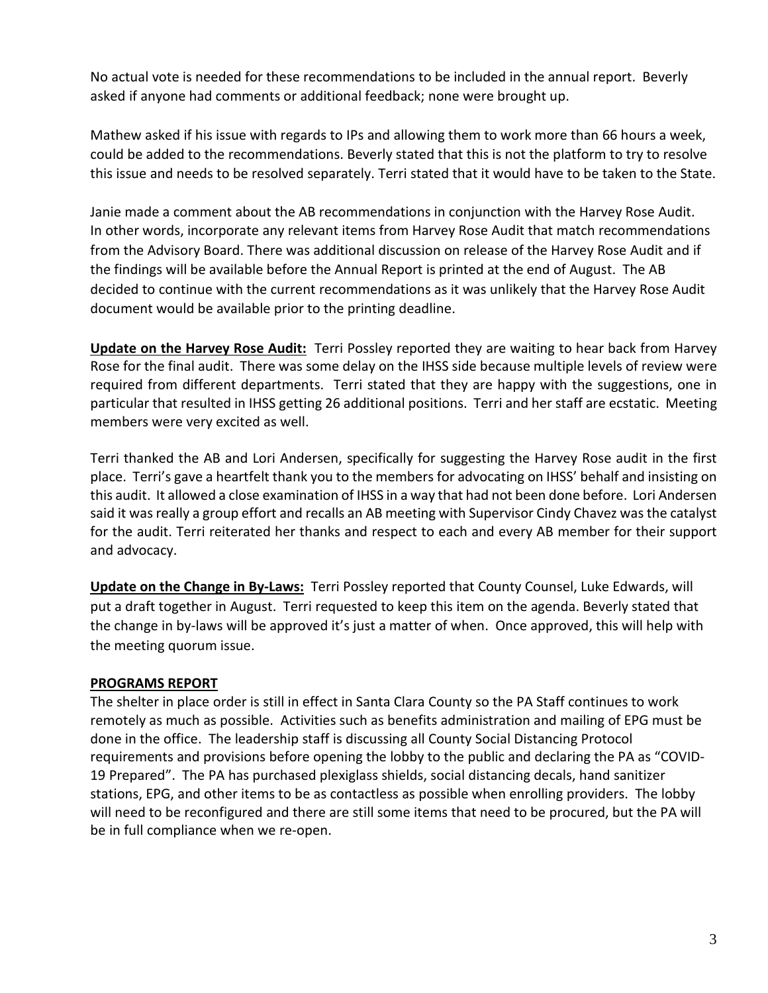No actual vote is needed for these recommendations to be included in the annual report. Beverly asked if anyone had comments or additional feedback; none were brought up.

Mathew asked if his issue with regards to IPs and allowing them to work more than 66 hours a week, could be added to the recommendations. Beverly stated that this is not the platform to try to resolve this issue and needs to be resolved separately. Terri stated that it would have to be taken to the State.

Janie made a comment about the AB recommendations in conjunction with the Harvey Rose Audit. In other words, incorporate any relevant items from Harvey Rose Audit that match recommendations from the Advisory Board. There was additional discussion on release of the Harvey Rose Audit and if the findings will be available before the Annual Report is printed at the end of August. The AB decided to continue with the current recommendations as it was unlikely that the Harvey Rose Audit document would be available prior to the printing deadline.

**Update on the Harvey Rose Audit:** Terri Possley reported they are waiting to hear back from Harvey Rose for the final audit. There was some delay on the IHSS side because multiple levels of review were required from different departments. Terri stated that they are happy with the suggestions, one in particular that resulted in IHSS getting 26 additional positions. Terri and her staff are ecstatic. Meeting members were very excited as well.

Terri thanked the AB and Lori Andersen, specifically for suggesting the Harvey Rose audit in the first place. Terri's gave a heartfelt thank you to the members for advocating on IHSS' behalf and insisting on this audit. It allowed a close examination of IHSS in a way that had not been done before. Lori Andersen said it was really a group effort and recalls an AB meeting with Supervisor Cindy Chavez was the catalyst for the audit. Terri reiterated her thanks and respect to each and every AB member for their support and advocacy.

**Update on the Change in By-Laws:** Terri Possley reported that County Counsel, Luke Edwards, will put a draft together in August. Terri requested to keep this item on the agenda. Beverly stated that the change in by-laws will be approved it's just a matter of when. Once approved, this will help with the meeting quorum issue.

### **PROGRAMS REPORT**

The shelter in place order is still in effect in Santa Clara County so the PA Staff continues to work remotely as much as possible. Activities such as benefits administration and mailing of EPG must be done in the office. The leadership staff is discussing all County Social Distancing Protocol requirements and provisions before opening the lobby to the public and declaring the PA as "COVID-19 Prepared". The PA has purchased plexiglass shields, social distancing decals, hand sanitizer stations, EPG, and other items to be as contactless as possible when enrolling providers. The lobby will need to be reconfigured and there are still some items that need to be procured, but the PA will be in full compliance when we re-open.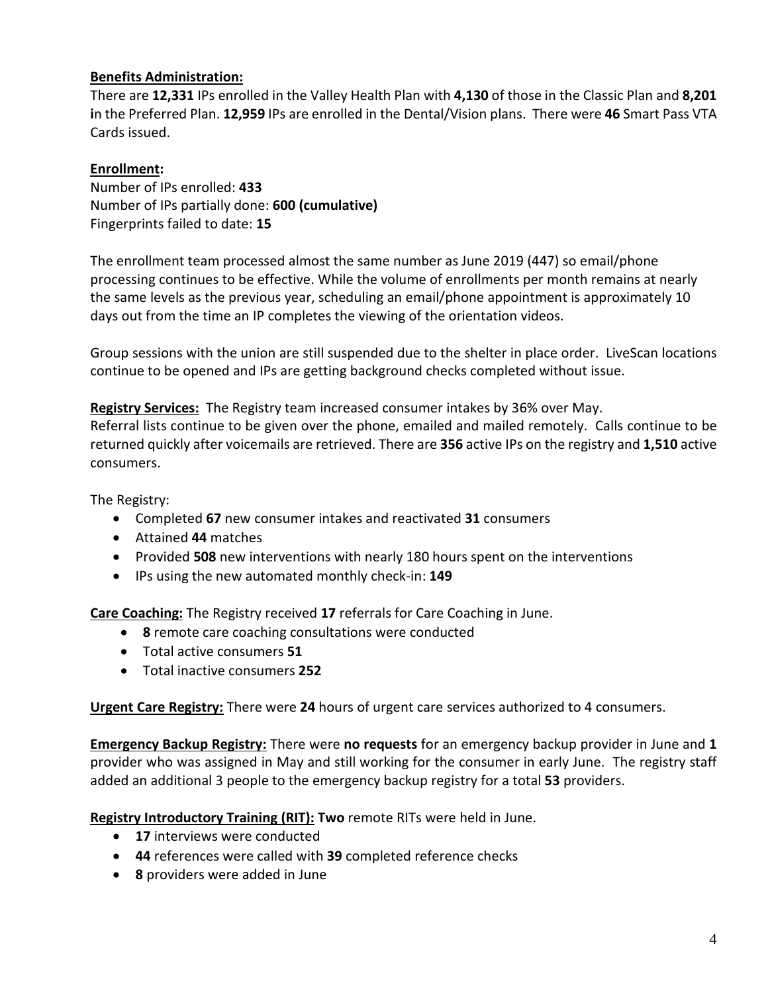## **Benefits Administration:**

There are **12,331** IPs enrolled in the Valley Health Plan with **4,130** of those in the Classic Plan and **8,201 i**n the Preferred Plan. **12,959** IPs are enrolled in the Dental/Vision plans. There were **46** Smart Pass VTA Cards issued.

## **Enrollment:**

Number of IPs enrolled: **433** Number of IPs partially done: **600 (cumulative)** Fingerprints failed to date: **15** 

The enrollment team processed almost the same number as June 2019 (447) so email/phone processing continues to be effective. While the volume of enrollments per month remains at nearly the same levels as the previous year, scheduling an email/phone appointment is approximately 10 days out from the time an IP completes the viewing of the orientation videos.

Group sessions with the union are still suspended due to the shelter in place order. LiveScan locations continue to be opened and IPs are getting background checks completed without issue.

**Registry Services:** The Registry team increased consumer intakes by 36% over May.

Referral lists continue to be given over the phone, emailed and mailed remotely. Calls continue to be returned quickly after voicemails are retrieved. There are **356** active IPs on the registry and **1,510** active consumers.

The Registry:

- Completed **67** new consumer intakes and reactivated **31** consumers
- Attained **44** matches
- Provided **508** new interventions with nearly 180 hours spent on the interventions
- IPs using the new automated monthly check-in: **149**

**Care Coaching:** The Registry received **17** referrals for Care Coaching in June.

- **8** remote care coaching consultations were conducted
- Total active consumers **51**
- Total inactive consumers **252**

**Urgent Care Registry:** There were **24** hours of urgent care services authorized to 4 consumers.

**Emergency Backup Registry:** There were **no requests** for an emergency backup provider in June and **1**  provider who was assigned in May and still working for the consumer in early June. The registry staff added an additional 3 people to the emergency backup registry for a total **53** providers.

**Registry Introductory Training (RIT): Two** remote RITs were held in June.

- **17** interviews were conducted
- **44** references were called with **39** completed reference checks
- **8** providers were added in June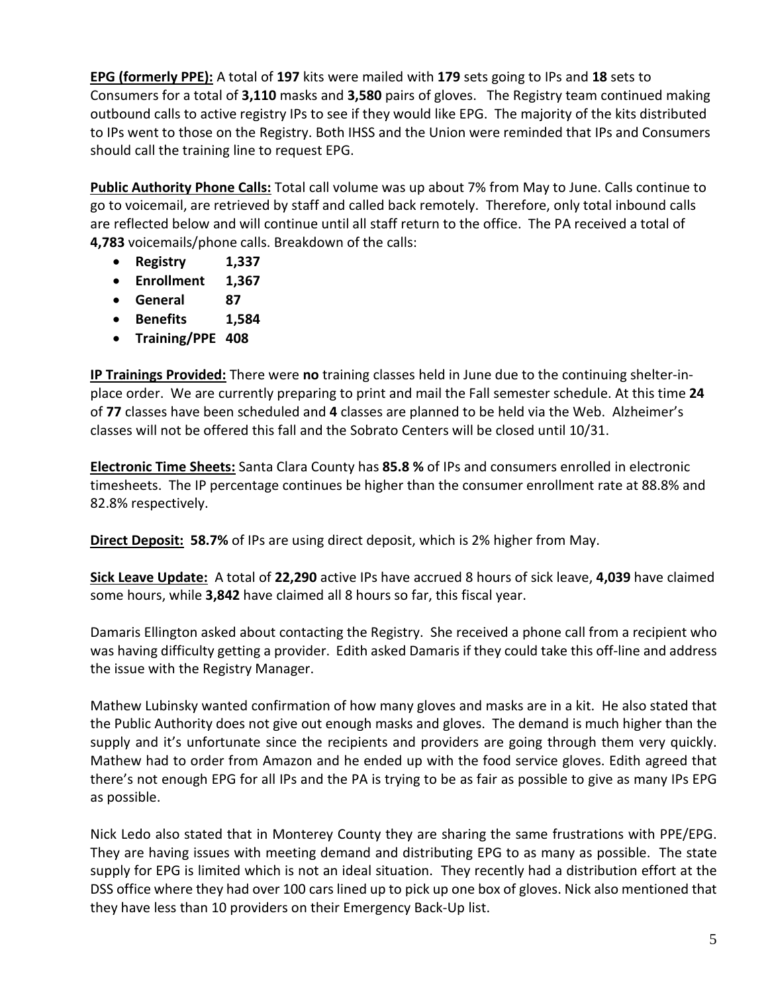**EPG (formerly PPE):** A total of **197** kits were mailed with **179** sets going to IPs and **18** sets to Consumers for a total of **3,110** masks and **3,580** pairs of gloves. The Registry team continued making outbound calls to active registry IPs to see if they would like EPG. The majority of the kits distributed to IPs went to those on the Registry. Both IHSS and the Union were reminded that IPs and Consumers should call the training line to request EPG.

**Public Authority Phone Calls:** Total call volume was up about 7% from May to June. Calls continue to go to voicemail, are retrieved by staff and called back remotely. Therefore, only total inbound calls are reflected below and will continue until all staff return to the office. The PA received a total of **4,783** voicemails/phone calls. Breakdown of the calls:

- **Registry 1,337**
- **Enrollment 1,367**
- **General 87**
- **Benefits 1,584**
- **Training/PPE 408**

**IP Trainings Provided:** There were **no** training classes held in June due to the continuing shelter-inplace order. We are currently preparing to print and mail the Fall semester schedule. At this time **24** of **77** classes have been scheduled and **4** classes are planned to be held via the Web. Alzheimer's classes will not be offered this fall and the Sobrato Centers will be closed until 10/31.

**Electronic Time Sheets:** Santa Clara County has **85.8 %** of IPs and consumers enrolled in electronic timesheets. The IP percentage continues be higher than the consumer enrollment rate at 88.8% and 82.8% respectively.

**Direct Deposit: 58.7%** of IPs are using direct deposit, which is 2% higher from May.

**Sick Leave Update:** A total of **22,290** active IPs have accrued 8 hours of sick leave, **4,039** have claimed some hours, while **3,842** have claimed all 8 hours so far, this fiscal year.

Damaris Ellington asked about contacting the Registry. She received a phone call from a recipient who was having difficulty getting a provider. Edith asked Damaris if they could take this off-line and address the issue with the Registry Manager.

Mathew Lubinsky wanted confirmation of how many gloves and masks are in a kit. He also stated that the Public Authority does not give out enough masks and gloves. The demand is much higher than the supply and it's unfortunate since the recipients and providers are going through them very quickly. Mathew had to order from Amazon and he ended up with the food service gloves. Edith agreed that there's not enough EPG for all IPs and the PA is trying to be as fair as possible to give as many IPs EPG as possible.

Nick Ledo also stated that in Monterey County they are sharing the same frustrations with PPE/EPG. They are having issues with meeting demand and distributing EPG to as many as possible. The state supply for EPG is limited which is not an ideal situation. They recently had a distribution effort at the DSS office where they had over 100 cars lined up to pick up one box of gloves. Nick also mentioned that they have less than 10 providers on their Emergency Back-Up list.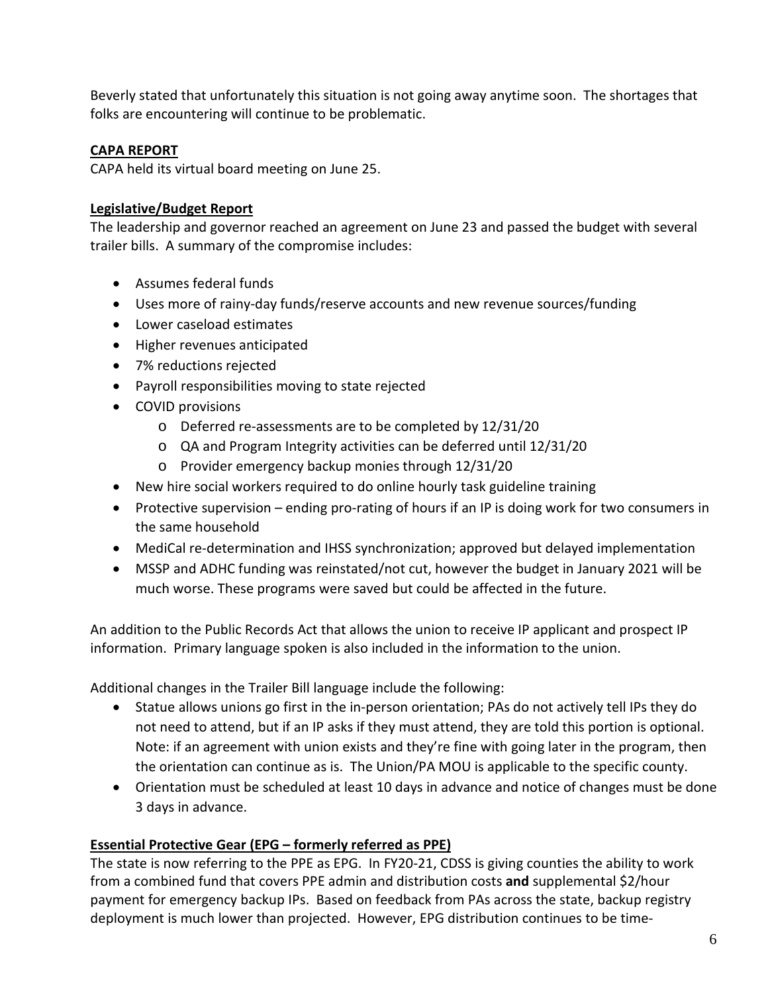Beverly stated that unfortunately this situation is not going away anytime soon. The shortages that folks are encountering will continue to be problematic.

#### **CAPA REPORT**

CAPA held its virtual board meeting on June 25.

#### **Legislative/Budget Report**

The leadership and governor reached an agreement on June 23 and passed the budget with several trailer bills. A summary of the compromise includes:

- Assumes federal funds
- Uses more of rainy-day funds/reserve accounts and new revenue sources/funding
- Lower caseload estimates
- Higher revenues anticipated
- 7% reductions rejected
- Payroll responsibilities moving to state rejected
- COVID provisions
	- o Deferred re-assessments are to be completed by 12/31/20
	- o QA and Program Integrity activities can be deferred until 12/31/20
	- o Provider emergency backup monies through 12/31/20
- New hire social workers required to do online hourly task guideline training
- Protective supervision ending pro-rating of hours if an IP is doing work for two consumers in the same household
- MediCal re-determination and IHSS synchronization; approved but delayed implementation
- MSSP and ADHC funding was reinstated/not cut, however the budget in January 2021 will be much worse. These programs were saved but could be affected in the future.

An addition to the Public Records Act that allows the union to receive IP applicant and prospect IP information. Primary language spoken is also included in the information to the union.

Additional changes in the Trailer Bill language include the following:

- Statue allows unions go first in the in-person orientation; PAs do not actively tell IPs they do not need to attend, but if an IP asks if they must attend, they are told this portion is optional. Note: if an agreement with union exists and they're fine with going later in the program, then the orientation can continue as is. The Union/PA MOU is applicable to the specific county.
- Orientation must be scheduled at least 10 days in advance and notice of changes must be done 3 days in advance.

### **Essential Protective Gear (EPG – formerly referred as PPE)**

The state is now referring to the PPE as EPG. In FY20-21, CDSS is giving counties the ability to work from a combined fund that covers PPE admin and distribution costs **and** supplemental \$2/hour payment for emergency backup IPs. Based on feedback from PAs across the state, backup registry deployment is much lower than projected. However, EPG distribution continues to be time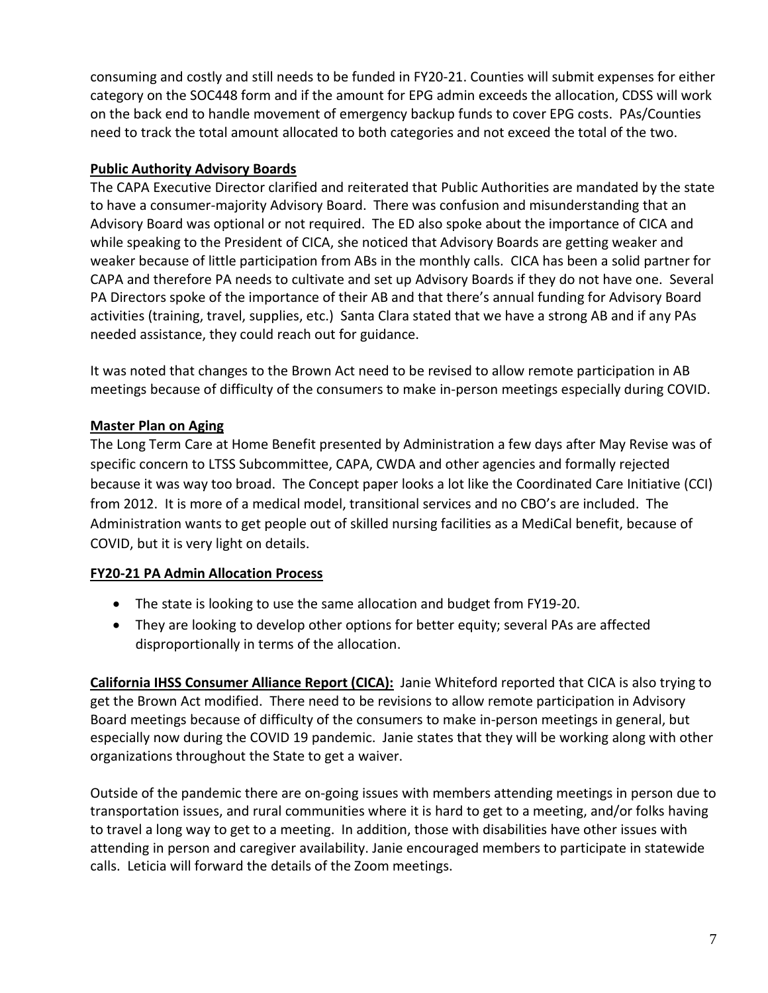consuming and costly and still needs to be funded in FY20-21. Counties will submit expenses for either category on the SOC448 form and if the amount for EPG admin exceeds the allocation, CDSS will work on the back end to handle movement of emergency backup funds to cover EPG costs. PAs/Counties need to track the total amount allocated to both categories and not exceed the total of the two.

## **Public Authority Advisory Boards**

The CAPA Executive Director clarified and reiterated that Public Authorities are mandated by the state to have a consumer-majority Advisory Board. There was confusion and misunderstanding that an Advisory Board was optional or not required. The ED also spoke about the importance of CICA and while speaking to the President of CICA, she noticed that Advisory Boards are getting weaker and weaker because of little participation from ABs in the monthly calls. CICA has been a solid partner for CAPA and therefore PA needs to cultivate and set up Advisory Boards if they do not have one. Several PA Directors spoke of the importance of their AB and that there's annual funding for Advisory Board activities (training, travel, supplies, etc.) Santa Clara stated that we have a strong AB and if any PAs needed assistance, they could reach out for guidance.

It was noted that changes to the Brown Act need to be revised to allow remote participation in AB meetings because of difficulty of the consumers to make in-person meetings especially during COVID.

## **Master Plan on Aging**

The Long Term Care at Home Benefit presented by Administration a few days after May Revise was of specific concern to LTSS Subcommittee, CAPA, CWDA and other agencies and formally rejected because it was way too broad. The Concept paper looks a lot like the Coordinated Care Initiative (CCI) from 2012. It is more of a medical model, transitional services and no CBO's are included. The Administration wants to get people out of skilled nursing facilities as a MediCal benefit, because of COVID, but it is very light on details.

## **FY20-21 PA Admin Allocation Process**

- The state is looking to use the same allocation and budget from FY19-20.
- They are looking to develop other options for better equity; several PAs are affected disproportionally in terms of the allocation.

**California IHSS Consumer Alliance Report (CICA):** Janie Whiteford reported that CICA is also trying to get the Brown Act modified. There need to be revisions to allow remote participation in Advisory Board meetings because of difficulty of the consumers to make in-person meetings in general, but especially now during the COVID 19 pandemic. Janie states that they will be working along with other organizations throughout the State to get a waiver.

Outside of the pandemic there are on-going issues with members attending meetings in person due to transportation issues, and rural communities where it is hard to get to a meeting, and/or folks having to travel a long way to get to a meeting. In addition, those with disabilities have other issues with attending in person and caregiver availability. Janie encouraged members to participate in statewide calls. Leticia will forward the details of the Zoom meetings.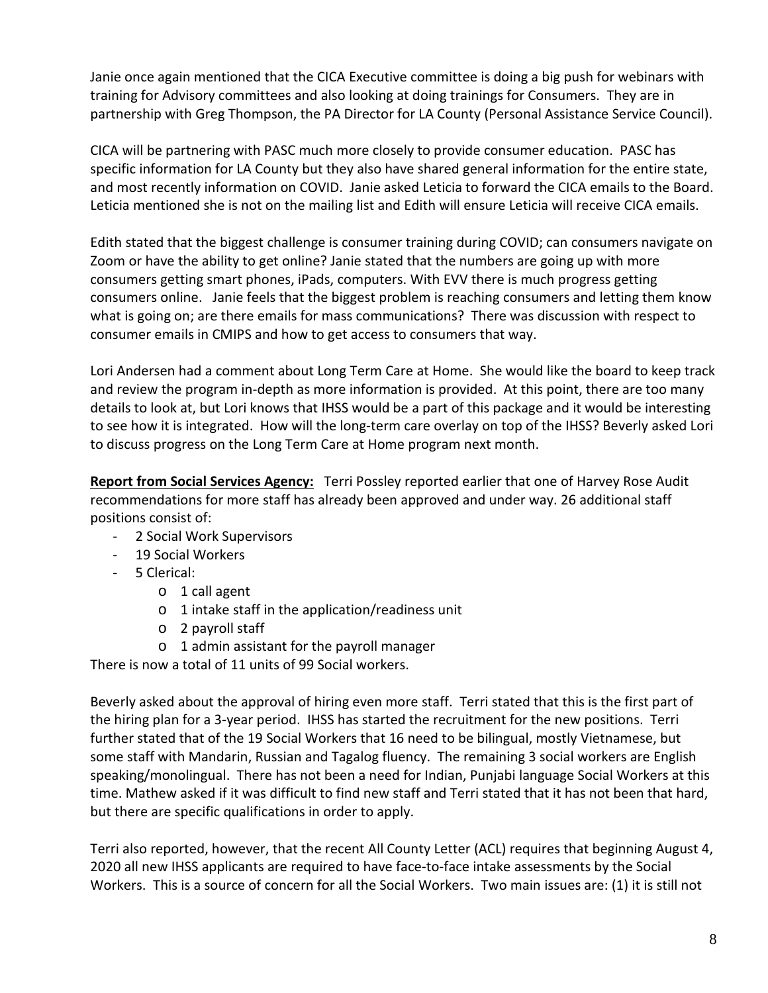Janie once again mentioned that the CICA Executive committee is doing a big push for webinars with training for Advisory committees and also looking at doing trainings for Consumers. They are in partnership with Greg Thompson, the PA Director for LA County (Personal Assistance Service Council).

CICA will be partnering with PASC much more closely to provide consumer education. PASC has specific information for LA County but they also have shared general information for the entire state, and most recently information on COVID. Janie asked Leticia to forward the CICA emails to the Board. Leticia mentioned she is not on the mailing list and Edith will ensure Leticia will receive CICA emails.

Edith stated that the biggest challenge is consumer training during COVID; can consumers navigate on Zoom or have the ability to get online? Janie stated that the numbers are going up with more consumers getting smart phones, iPads, computers. With EVV there is much progress getting consumers online. Janie feels that the biggest problem is reaching consumers and letting them know what is going on; are there emails for mass communications? There was discussion with respect to consumer emails in CMIPS and how to get access to consumers that way.

Lori Andersen had a comment about Long Term Care at Home. She would like the board to keep track and review the program in-depth as more information is provided. At this point, there are too many details to look at, but Lori knows that IHSS would be a part of this package and it would be interesting to see how it is integrated. How will the long-term care overlay on top of the IHSS? Beverly asked Lori to discuss progress on the Long Term Care at Home program next month.

**Report from Social Services Agency:** Terri Possley reported earlier that one of Harvey Rose Audit recommendations for more staff has already been approved and under way. 26 additional staff positions consist of:

- 2 Social Work Supervisors
- 19 Social Workers
- 5 Clerical:
	- o 1 call agent
	- o 1 intake staff in the application/readiness unit
	- o 2 payroll staff
	- o 1 admin assistant for the payroll manager

There is now a total of 11 units of 99 Social workers.

Beverly asked about the approval of hiring even more staff. Terri stated that this is the first part of the hiring plan for a 3-year period. IHSS has started the recruitment for the new positions. Terri further stated that of the 19 Social Workers that 16 need to be bilingual, mostly Vietnamese, but some staff with Mandarin, Russian and Tagalog fluency. The remaining 3 social workers are English speaking/monolingual. There has not been a need for Indian, Punjabi language Social Workers at this time. Mathew asked if it was difficult to find new staff and Terri stated that it has not been that hard, but there are specific qualifications in order to apply.

Terri also reported, however, that the recent All County Letter (ACL) requires that beginning August 4, 2020 all new IHSS applicants are required to have face-to-face intake assessments by the Social Workers. This is a source of concern for all the Social Workers. Two main issues are: (1) it is still not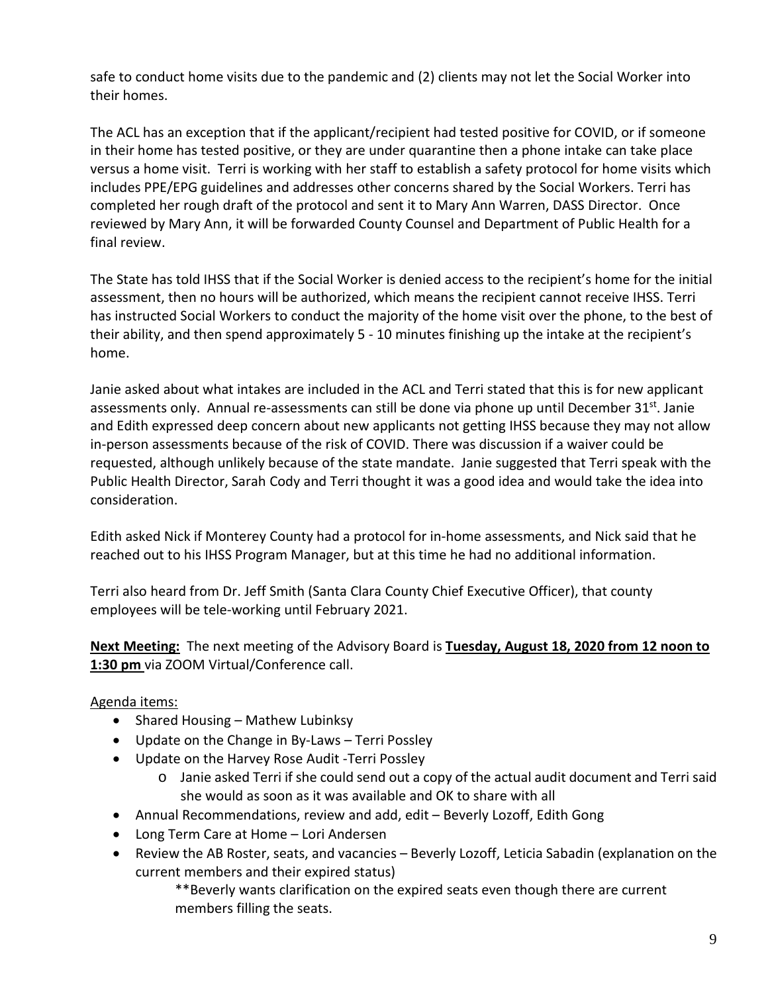safe to conduct home visits due to the pandemic and (2) clients may not let the Social Worker into their homes.

The ACL has an exception that if the applicant/recipient had tested positive for COVID, or if someone in their home has tested positive, or they are under quarantine then a phone intake can take place versus a home visit. Terri is working with her staff to establish a safety protocol for home visits which includes PPE/EPG guidelines and addresses other concerns shared by the Social Workers. Terri has completed her rough draft of the protocol and sent it to Mary Ann Warren, DASS Director. Once reviewed by Mary Ann, it will be forwarded County Counsel and Department of Public Health for a final review.

The State has told IHSS that if the Social Worker is denied access to the recipient's home for the initial assessment, then no hours will be authorized, which means the recipient cannot receive IHSS. Terri has instructed Social Workers to conduct the majority of the home visit over the phone, to the best of their ability, and then spend approximately 5 - 10 minutes finishing up the intake at the recipient's home.

Janie asked about what intakes are included in the ACL and Terri stated that this is for new applicant assessments only. Annual re-assessments can still be done via phone up until December 31st. Janie and Edith expressed deep concern about new applicants not getting IHSS because they may not allow in-person assessments because of the risk of COVID. There was discussion if a waiver could be requested, although unlikely because of the state mandate. Janie suggested that Terri speak with the Public Health Director, Sarah Cody and Terri thought it was a good idea and would take the idea into consideration.

Edith asked Nick if Monterey County had a protocol for in-home assessments, and Nick said that he reached out to his IHSS Program Manager, but at this time he had no additional information.

Terri also heard from Dr. Jeff Smith (Santa Clara County Chief Executive Officer), that county employees will be tele-working until February 2021.

**Next Meeting:** The next meeting of the Advisory Board is **Tuesday, August 18, 2020 from 12 noon to 1:30 pm** via ZOOM Virtual/Conference call.

## Agenda items:

- Shared Housing Mathew Lubinksy
- Update on the Change in By-Laws Terri Possley
- Update on the Harvey Rose Audit -Terri Possley
	- o Janie asked Terri if she could send out a copy of the actual audit document and Terri said she would as soon as it was available and OK to share with all
- Annual Recommendations, review and add, edit Beverly Lozoff, Edith Gong
- Long Term Care at Home Lori Andersen
- Review the AB Roster, seats, and vacancies Beverly Lozoff, Leticia Sabadin (explanation on the current members and their expired status)

\*\*Beverly wants clarification on the expired seats even though there are current members filling the seats.